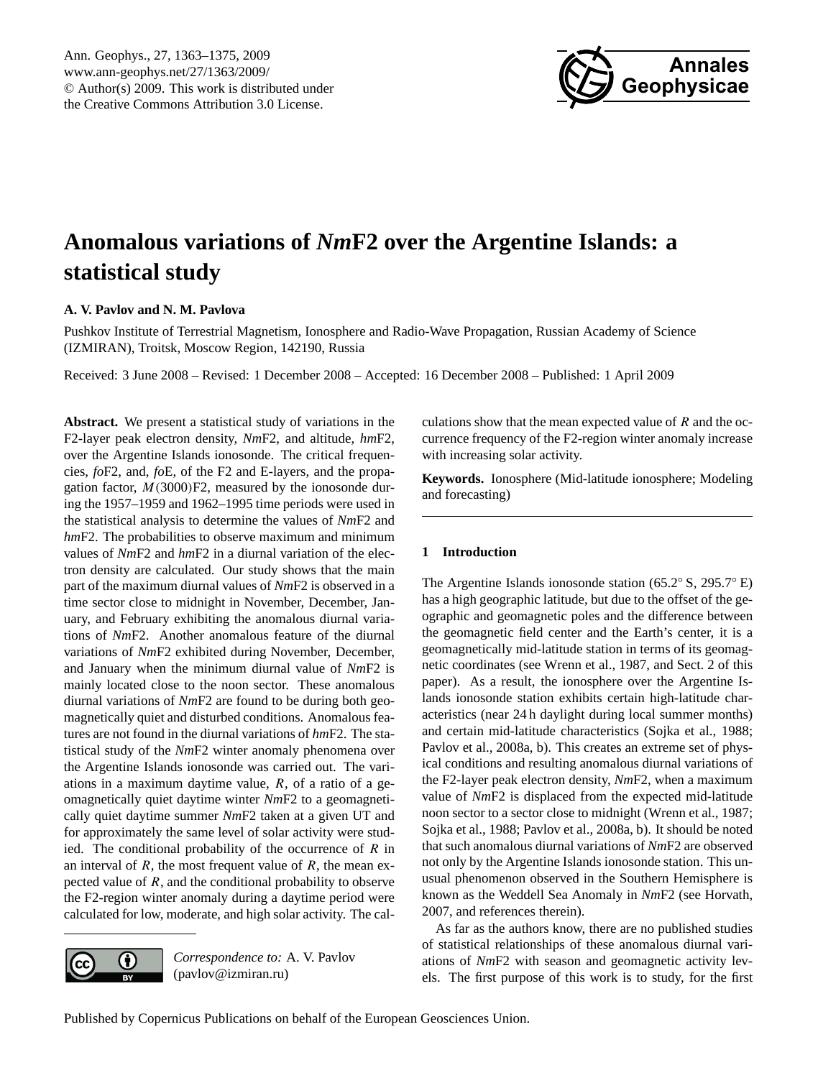

# <span id="page-0-0"></span>**Anomalous variations of** *Nm***F2 over the Argentine Islands: a statistical study**

# **A. V. Pavlov and N. M. Pavlova**

Pushkov Institute of Terrestrial Magnetism, Ionosphere and Radio-Wave Propagation, Russian Academy of Science (IZMIRAN), Troitsk, Moscow Region, 142190, Russia

Received: 3 June 2008 – Revised: 1 December 2008 – Accepted: 16 December 2008 – Published: 1 April 2009

**Abstract.** We present a statistical study of variations in the F2-layer peak electron density, *Nm*F2, and altitude, *hm*F2, over the Argentine Islands ionosonde. The critical frequencies, *fo*F2, and, *fo*E, of the F2 and E-layers, and the propagation factor,  $M(3000)F2$ , measured by the ionosonde during the 1957–1959 and 1962–1995 time periods were used in the statistical analysis to determine the values of *Nm*F2 and *hm*F2. The probabilities to observe maximum and minimum values of *Nm*F2 and *hm*F2 in a diurnal variation of the electron density are calculated. Our study shows that the main part of the maximum diurnal values of *Nm*F2 is observed in a time sector close to midnight in November, December, January, and February exhibiting the anomalous diurnal variations of *Nm*F2. Another anomalous feature of the diurnal variations of *Nm*F2 exhibited during November, December, and January when the minimum diurnal value of *Nm*F2 is mainly located close to the noon sector. These anomalous diurnal variations of *Nm*F2 are found to be during both geomagnetically quiet and disturbed conditions. Anomalous features are not found in the diurnal variations of *hm*F2. The statistical study of the *Nm*F2 winter anomaly phenomena over the Argentine Islands ionosonde was carried out. The variations in a maximum daytime value,  $R$ , of a ratio of a geomagnetically quiet daytime winter *Nm*F2 to a geomagnetically quiet daytime summer *Nm*F2 taken at a given UT and for approximately the same level of solar activity were studied. The conditional probability of the occurrence of  $R$  in an interval of  $R$ , the most frequent value of  $R$ , the mean expected value of  $R$ , and the conditional probability to observe the F2-region winter anomaly during a daytime period were calculated for low, moderate, and high solar activity. The cal-



*Correspondence to:* A. V. Pavlov (pavlov@izmiran.ru)

culations show that the mean expected value of  $R$  and the occurrence frequency of the F2-region winter anomaly increase with increasing solar activity.

**Keywords.** Ionosphere (Mid-latitude ionosphere; Modeling and forecasting)

# **1 Introduction**

The Argentine Islands ionosonde station (65.2◦ S, 295.7◦ E) has a high geographic latitude, but due to the offset of the geographic and geomagnetic poles and the difference between the geomagnetic field center and the Earth's center, it is a geomagnetically mid-latitude station in terms of its geomagnetic coordinates (see Wrenn et al., 1987, and Sect. 2 of this paper). As a result, the ionosphere over the Argentine Islands ionosonde station exhibits certain high-latitude characteristics (near 24 h daylight during local summer months) and certain mid-latitude characteristics (Sojka et al., 1988; Pavlov et al., 2008a, b). This creates an extreme set of physical conditions and resulting anomalous diurnal variations of the F2-layer peak electron density, *Nm*F2, when a maximum value of *Nm*F2 is displaced from the expected mid-latitude noon sector to a sector close to midnight (Wrenn et al., 1987; Sojka et al., 1988; Pavlov et al., 2008a, b). It should be noted that such anomalous diurnal variations of *Nm*F2 are observed not only by the Argentine Islands ionosonde station. This unusual phenomenon observed in the Southern Hemisphere is known as the Weddell Sea Anomaly in *Nm*F2 (see Horvath, 2007, and references therein).

As far as the authors know, there are no published studies of statistical relationships of these anomalous diurnal variations of *Nm*F2 with season and geomagnetic activity levels. The first purpose of this work is to study, for the first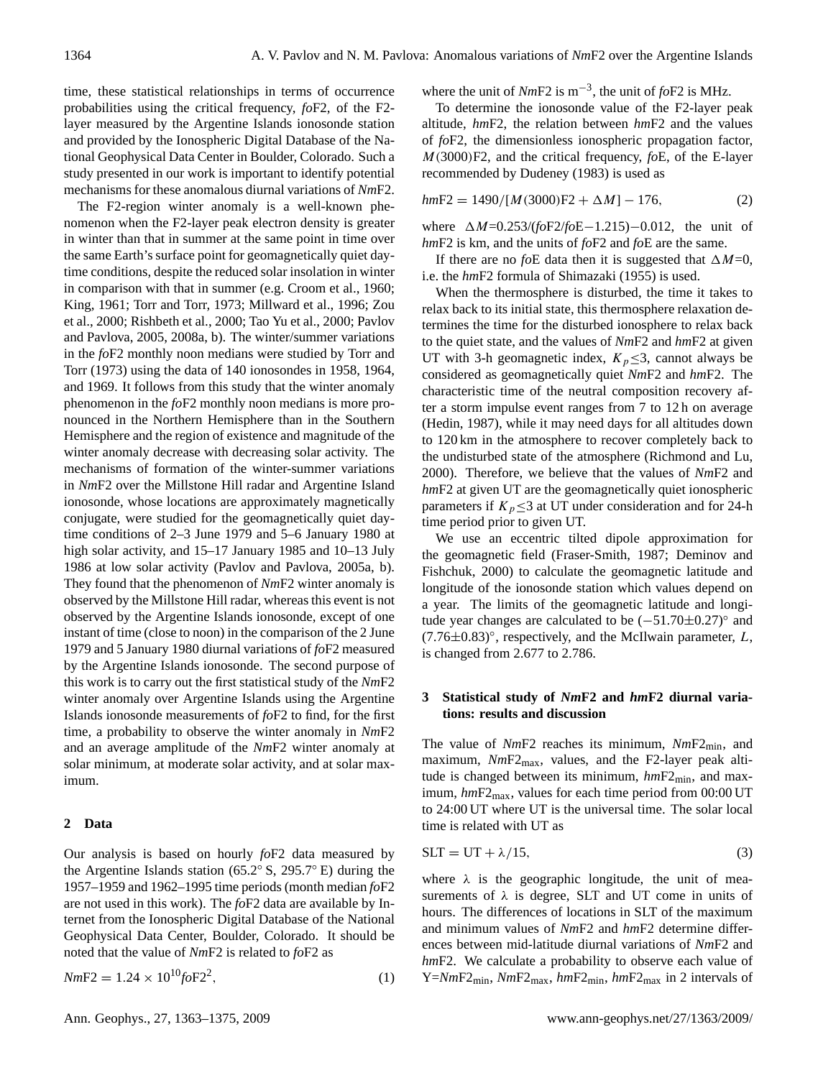time, these statistical relationships in terms of occurrence probabilities using the critical frequency, *fo*F2, of the F2 layer measured by the Argentine Islands ionosonde station and provided by the Ionospheric Digital Database of the National Geophysical Data Center in Boulder, Colorado. Such a study presented in our work is important to identify potential mechanisms for these anomalous diurnal variations of *Nm*F2.

The F2-region winter anomaly is a well-known phenomenon when the F2-layer peak electron density is greater in winter than that in summer at the same point in time over the same Earth's surface point for geomagnetically quiet daytime conditions, despite the reduced solar insolation in winter in comparison with that in summer (e.g. Croom et al., 1960; King, 1961; Torr and Torr, 1973; Millward et al., 1996; Zou et al., 2000; Rishbeth et al., 2000; Tao Yu et al., 2000; Pavlov and Pavlova, 2005, 2008a, b). The winter/summer variations in the *fo*F2 monthly noon medians were studied by Torr and Torr (1973) using the data of 140 ionosondes in 1958, 1964, and 1969. It follows from this study that the winter anomaly phenomenon in the *fo*F2 monthly noon medians is more pronounced in the Northern Hemisphere than in the Southern Hemisphere and the region of existence and magnitude of the winter anomaly decrease with decreasing solar activity. The mechanisms of formation of the winter-summer variations in *Nm*F2 over the Millstone Hill radar and Argentine Island ionosonde, whose locations are approximately magnetically conjugate, were studied for the geomagnetically quiet daytime conditions of 2–3 June 1979 and 5–6 January 1980 at high solar activity, and 15–17 January 1985 and 10–13 July 1986 at low solar activity (Pavlov and Pavlova, 2005a, b). They found that the phenomenon of *Nm*F2 winter anomaly is observed by the Millstone Hill radar, whereas this event is not observed by the Argentine Islands ionosonde, except of one instant of time (close to noon) in the comparison of the 2 June 1979 and 5 January 1980 diurnal variations of *fo*F2 measured by the Argentine Islands ionosonde. The second purpose of this work is to carry out the first statistical study of the *Nm*F2 winter anomaly over Argentine Islands using the Argentine Islands ionosonde measurements of *fo*F2 to find, for the first time, a probability to observe the winter anomaly in *Nm*F2 and an average amplitude of the *Nm*F2 winter anomaly at solar minimum, at moderate solar activity, and at solar maximum.

## **2 Data**

Our analysis is based on hourly *fo*F2 data measured by the Argentine Islands station (65.2◦ S, 295.7◦ E) during the 1957–1959 and 1962–1995 time periods (month median *fo*F2 are not used in this work). The *fo*F2 data are available by Internet from the Ionospheric Digital Database of the National Geophysical Data Center, Boulder, Colorado. It should be noted that the value of *Nm*F2 is related to *fo*F2 as

$$
NmF2 = 1.24 \times 10^{10} \text{foF2}^2,\tag{1}
$$

where the unit of *Nm*F2 is m−<sup>3</sup> , the unit of *fo*F2 is MHz.

To determine the ionosonde value of the F2-layer peak altitude, *hm*F2, the relation between *hm*F2 and the values of *fo*F2, the dimensionless ionospheric propagation factor, M(3000)F2, and the critical frequency, *fo*E, of the E-layer recommended by Dudeney (1983) is used as

$$
hmF2 = 1490/[M(3000)F2 + \Delta M] - 176,
$$
\n(2)

where  $\Delta M$ =0.253/(*fo*F2/*fo*E−1.215)−0.012, the unit of *hm*F2 is km, and the units of *fo*F2 and *fo*E are the same.

If there are no *fo*E data then it is suggested that  $\Delta M=0$ , i.e. the *hm*F2 formula of Shimazaki (1955) is used.

When the thermosphere is disturbed, the time it takes to relax back to its initial state, this thermosphere relaxation determines the time for the disturbed ionosphere to relax back to the quiet state, and the values of *Nm*F2 and *hm*F2 at given UT with 3-h geomagnetic index,  $K_p \leq 3$ , cannot always be considered as geomagnetically quiet *Nm*F2 and *hm*F2. The characteristic time of the neutral composition recovery after a storm impulse event ranges from 7 to 12 h on average (Hedin, 1987), while it may need days for all altitudes down to 120 km in the atmosphere to recover completely back to the undisturbed state of the atmosphere (Richmond and Lu, 2000). Therefore, we believe that the values of *Nm*F2 and *hm*F2 at given UT are the geomagnetically quiet ionospheric parameters if  $K_p \leq 3$  at UT under consideration and for 24-h time period prior to given UT.

We use an eccentric tilted dipole approximation for the geomagnetic field (Fraser-Smith, 1987; Deminov and Fishchuk, 2000) to calculate the geomagnetic latitude and longitude of the ionosonde station which values depend on a year. The limits of the geomagnetic latitude and longitude year changes are calculated to be (−51.70±0.27)◦ and  $(7.76\pm0.83)^\circ$ , respectively, and the McIlwain parameter, L, is changed from 2.677 to 2.786.

## **3 Statistical study of** *Nm***F2 and** *hm***F2 diurnal variations: results and discussion**

The value of *Nm*F2 reaches its minimum, *Nm*F2min, and maximum, *NmF2*<sub>max</sub>, values, and the F2-layer peak altitude is changed between its minimum,  $hmF2_{min}$ , and maximum,  $hmF2<sub>max</sub>$ , values for each time period from 00:00 UT to 24:00 UT where UT is the universal time. The solar local time is related with UT as

$$
SLT = UT + \lambda/15, \tag{3}
$$

where  $\lambda$  is the geographic longitude, the unit of measurements of  $\lambda$  is degree, SLT and UT come in units of hours. The differences of locations in SLT of the maximum and minimum values of *Nm*F2 and *hm*F2 determine differences between mid-latitude diurnal variations of *Nm*F2 and *hmF2*. We calculate a probability to observe each value of Y=*Nm*F2min, *Nm*F2max, *hm*F2min, *hm*F2max in 2 intervals of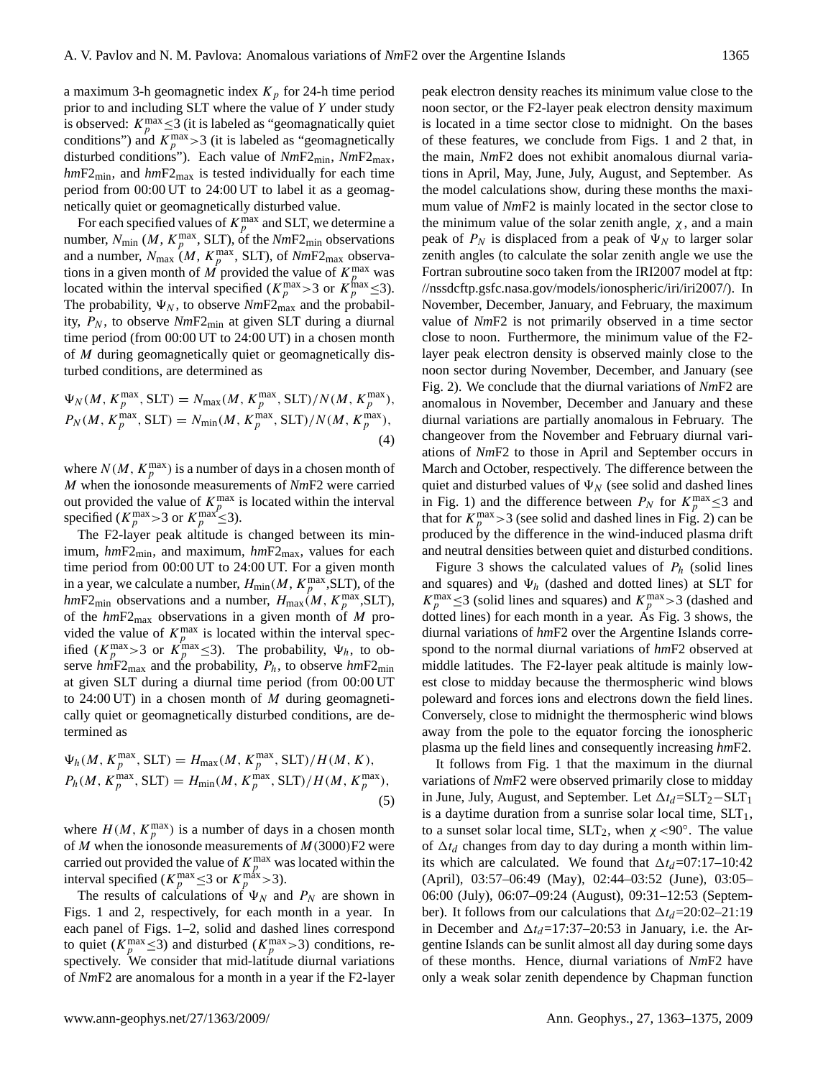a maximum 3-h geomagnetic index  $K_p$  for 24-h time period prior to and including SLT where the value of Y under study is observed:  $K_p^{\text{max}} \leq 3$  (it is labeled as "geomagnatically quiet conditions") and  $K_p^{\text{max}} > 3$  (it is labeled as "geomagnetically disturbed conditions"). Each value of *Nm*F2min, *Nm*F2max, *hm*F2min, and *hm*F2max is tested individually for each time period from 00:00 UT to 24:00 UT to label it as a geomagnetically quiet or geomagnetically disturbed value.

For each specified values of  $K_p^{\text{max}}$  and SLT, we determine a number,  $N_{\text{min}}$  (*M*,  $K_p^{\text{max}}$ , SLT), of the  $NmF2_{\text{min}}$  observations and a number,  $N_{\text{max}}(M, K_p^{\text{max}}, SLT)$ , of  $NmF2_{\text{max}}$  observations in a given month of  $\overline{M}$  provided the value of  $K_p^{\text{max}}$  was located within the interval specified  $(K_p^{\text{max}} > 3 \text{ or } K_p^{\text{max}} \leq 3)$ . The probability,  $\Psi_N$ , to observe *NmF2*<sub>max</sub> and the probability,  $P_N$ , to observe  $NmF2_{\text{min}}$  at given SLT during a diurnal time period (from 00:00 UT to 24:00 UT) in a chosen month of M during geomagnetically quiet or geomagnetically disturbed conditions, are determined as

$$
\Psi_N(M, K_p^{\text{max}}, SLT) = N_{\text{max}}(M, K_p^{\text{max}}, SLT)/N(M, K_p^{\text{max}}),
$$
  
\n
$$
P_N(M, K_p^{\text{max}}, SLT) = N_{\text{min}}(M, K_p^{\text{max}}, SLT)/N(M, K_p^{\text{max}}),
$$
  
\n(4)

where  $N(M, K_p^{\text{max}})$  is a number of days in a chosen month of M when the ionosonde measurements of *Nm*F2 were carried out provided the value of  $K_p^{\text{max}}$  is located within the interval specified ( $K_p^{\text{max}} > 3$  or  $K_p^{\text{max}} \leq 3$ ).

The F2-layer peak altitude is changed between its minimum,  $hmF2_{\text{min}}$ , and maximum,  $hmF2_{\text{max}}$ , values for each time period from 00:00 UT to 24:00 UT. For a given month in a year, we calculate a number,  $H_{\text{min}}(M, K_p^{\text{max}}, SLT)$ , of the  $hmF2_{\text{min}}$  observations and a number,  $H_{\text{max}}(M, K_p^{\text{max}}, SLT)$ , of the  $hmF2_{\text{max}}$  observations in a given month of M provided the value of  $K_p^{\text{max}}$  is located within the interval specified  $(K_p^{\text{max}} > 3$  or  $K_p^{\text{max}} \leq 3$ ). The probability,  $\Psi_h$ , to observe  $h\dot{m}F2_{\text{max}}$  and the probability,  $P_h$ , to observe  $h\dot{m}F2_{\text{min}}$ at given SLT during a diurnal time period (from 00:00 UT to 24:00 UT) in a chosen month of M during geomagnetically quiet or geomagnetically disturbed conditions, are determined as

$$
\Psi_h(M, K_p^{\max}, SLT) = H_{\max}(M, K_p^{\max}, SLT) / H(M, K),
$$
  
\n
$$
P_h(M, K_p^{\max}, SLT) = H_{\min}(M, K_p^{\max}, SLT) / H(M, K_p^{\max}),
$$
\n(5)

where  $H(M, K_p^{\text{max}})$  is a number of days in a chosen month of  $M$  when the ionosonde measurements of  $M(3000)F2$  were carried out provided the value of  $K_p^{\text{max}}$  was located within the interval specified ( $K_p^{\text{max}} \leq 3$  or  $K_p^{\text{max}} > 3$ ).

The results of calculations of  $\Psi_N$  and  $P_N$  are shown in Figs. 1 and 2, respectively, for each month in a year. In each panel of Figs. 1–2, solid and dashed lines correspond to quiet ( $K_p^{\text{max}} \leq 3$ ) and disturbed ( $K_p^{\text{max}} > 3$ ) conditions, respectively. We consider that mid-latitude diurnal variations of *Nm*F2 are anomalous for a month in a year if the F2-layer peak electron density reaches its minimum value close to the noon sector, or the F2-layer peak electron density maximum is located in a time sector close to midnight. On the bases of these features, we conclude from Figs. 1 and 2 that, in the main, *Nm*F2 does not exhibit anomalous diurnal variations in April, May, June, July, August, and September. As the model calculations show, during these months the maximum value of *Nm*F2 is mainly located in the sector close to the minimum value of the solar zenith angle,  $\chi$ , and a main peak of  $P_N$  is displaced from a peak of  $\Psi_N$  to larger solar zenith angles (to calculate the solar zenith angle we use the Fortran subroutine soco taken from the IRI2007 model at [ftp:](ftp://nssdcftp.gsfc.nasa.gov/models/ionospheric/iri/iri2007/) [//nssdcftp.gsfc.nasa.gov/models/ionospheric/iri/iri2007/\)](ftp://nssdcftp.gsfc.nasa.gov/models/ionospheric/iri/iri2007/). In November, December, January, and February, the maximum value of *Nm*F2 is not primarily observed in a time sector close to noon. Furthermore, the minimum value of the F2 layer peak electron density is observed mainly close to the noon sector during November, December, and January (see Fig. 2). We conclude that the diurnal variations of *Nm*F2 are anomalous in November, December and January and these diurnal variations are partially anomalous in February. The changeover from the November and February diurnal variations of *Nm*F2 to those in April and September occurs in March and October, respectively. The difference between the quiet and disturbed values of  $\Psi_N$  (see solid and dashed lines in Fig. 1) and the difference between  $P_N$  for  $K_p^{\text{max}} \leq 3$  and that for  $K_p^{\text{max}} > 3$  (see solid and dashed lines in Fig. 2) can be produced by the difference in the wind-induced plasma drift and neutral densities between quiet and disturbed conditions.

Figure 3 shows the calculated values of  $P_h$  (solid lines and squares) and  $\Psi_h$  (dashed and dotted lines) at SLT for  $K_p^{\text{max}} \leq 3$  (solid lines and squares) and  $K_p^{\text{max}} > 3$  (dashed and dotted lines) for each month in a year. As Fig. 3 shows, the diurnal variations of *hm*F2 over the Argentine Islands correspond to the normal diurnal variations of *hm*F2 observed at middle latitudes. The F2-layer peak altitude is mainly lowest close to midday because the thermospheric wind blows poleward and forces ions and electrons down the field lines. Conversely, close to midnight the thermospheric wind blows away from the pole to the equator forcing the ionospheric plasma up the field lines and consequently increasing *hm*F2.

It follows from Fig. 1 that the maximum in the diurnal variations of *Nm*F2 were observed primarily close to midday in June, July, August, and September. Let  $\Delta t_d = SLT_2 - SLT_1$ is a daytime duration from a sunrise solar local time,  $SLT<sub>1</sub>$ , to a sunset solar local time,  $SLT_2$ , when  $\chi < 90^\circ$ . The value of  $\Delta t_d$  changes from day to day during a month within limits which are calculated. We found that  $\Delta t_d$ =07:17–10:42 (April), 03:57–06:49 (May), 02:44–03:52 (June), 03:05– 06:00 (July), 06:07–09:24 (August), 09:31–12:53 (September). It follows from our calculations that  $\Delta t_d$ =20:02–21:19 in December and  $\Delta t_d$ =17:37–20:53 in January, i.e. the Argentine Islands can be sunlit almost all day during some days of these months. Hence, diurnal variations of *Nm*F2 have only a weak solar zenith dependence by Chapman function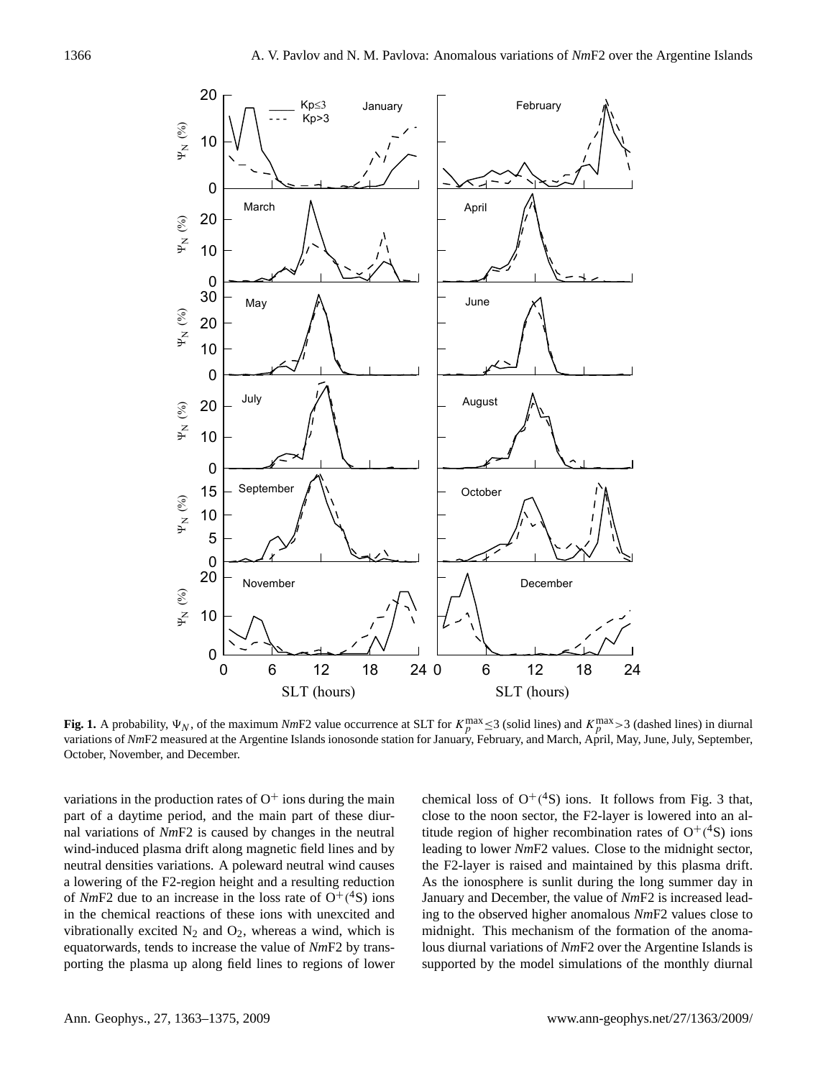

**Fig. 1.** A probability,  $\Psi_N$ , of the maximum *Nm*F2 value occurrence at SLT for  $K_p^{\max} \le 3$  (solid lines) and  $K_p^{\max} > 3$  (dashed lines) in diurnal variations of *Nm*F2 measured at the Argentine Islands ionosonde station for January, February, and March, April, May, June, July, September, October, November, and December.

variations in the production rates of  $O<sup>+</sup>$  ions during the main part of a daytime period, and the main part of these diurnal variations of *Nm*F2 is caused by changes in the neutral wind-induced plasma drift along magnetic field lines and by neutral densities variations. A poleward neutral wind causes a lowering of the F2-region height and a resulting reduction of  $NmF2$  due to an increase in the loss rate of  $O^+(4S)$  ions in the chemical reactions of these ions with unexcited and vibrationally excited  $N_2$  and  $O_2$ , whereas a wind, which is equatorwards, tends to increase the value of *Nm*F2 by transporting the plasma up along field lines to regions of lower

chemical loss of  $O^+(^4S)$  ions. It follows from Fig. 3 that, close to the noon sector, the F2-layer is lowered into an altitude region of higher recombination rates of  $O^+(^4S)$  ions leading to lower *Nm*F2 values. Close to the midnight sector, the F2-layer is raised and maintained by this plasma drift. As the ionosphere is sunlit during the long summer day in January and December, the value of *Nm*F2 is increased leading to the observed higher anomalous *Nm*F2 values close to midnight. This mechanism of the formation of the anomalous diurnal variations of *Nm*F2 over the Argentine Islands is supported by the model simulations of the monthly diurnal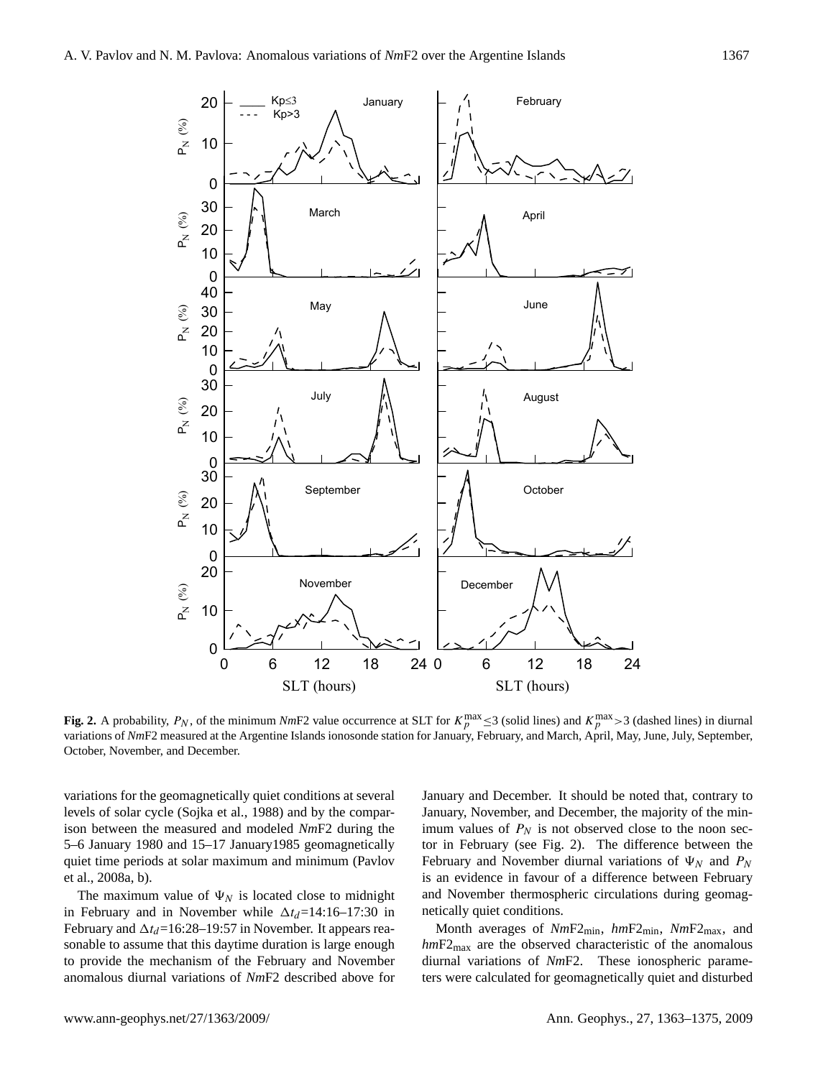

**Fig. 2.** A probability,  $P_N$ , of the minimum  $NmF2$  value occurrence at SLT for  $K_p^{\max} \leq 3$  (solid lines) and  $K_p^{\max} > 3$  (dashed lines) in diurnal variations of *Nm*F2 measured at the Argentine Islands ionosonde station for January, February, and March, April, May, June, July, September, October, November, and December.

variations for the geomagnetically quiet conditions at several levels of solar cycle (Sojka et al., 1988) and by the comparison between the measured and modeled *Nm*F2 during the 5–6 January 1980 and 15–17 January1985 geomagnetically quiet time periods at solar maximum and minimum (Pavlov et al., 2008a, b).

The maximum value of  $\Psi_N$  is located close to midnight in February and in November while  $\Delta t_d$ =14:16–17:30 in February and  $\Delta t_d$ =16:28–19:57 in November. It appears reasonable to assume that this daytime duration is large enough to provide the mechanism of the February and November anomalous diurnal variations of *Nm*F2 described above for

January and December. It should be noted that, contrary to January, November, and December, the majority of the minimum values of  $P_N$  is not observed close to the noon sector in February (see Fig. 2). The difference between the February and November diurnal variations of  $\Psi_N$  and  $P_N$ is an evidence in favour of a difference between February and November thermospheric circulations during geomagnetically quiet conditions.

Month averages of *Nm*F2min, *hm*F2min, *Nm*F2max, and *hm*F2max are the observed characteristic of the anomalous diurnal variations of *Nm*F2. These ionospheric parameters were calculated for geomagnetically quiet and disturbed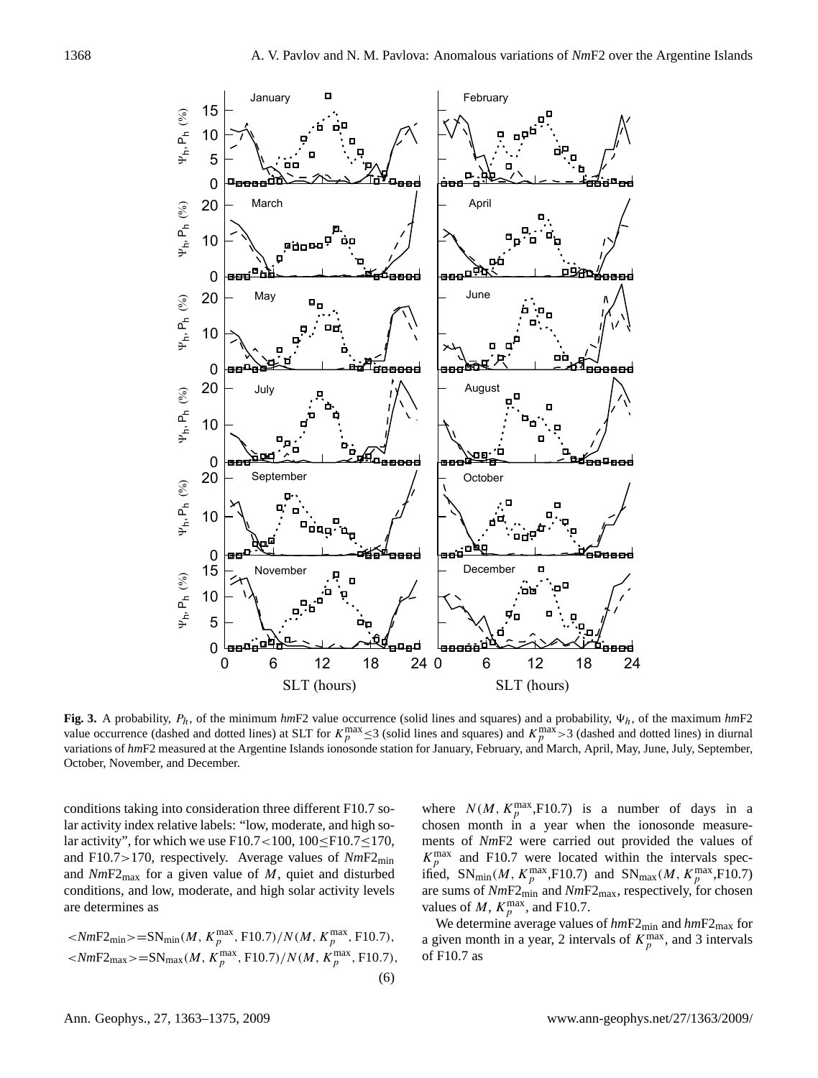

variations of *hmF2* measured at the Argentine Islands ionosonde station for January, February, and March, April, May, June, July, September, Fig. 3. A probability,  $P_h$ , of the minimum  $hmF2$  value occurrence (solid lines and squares) and a probability,  $\Psi_h$ , of the maximum  $hmF2$ value occurrence (dashed and dotted lines) at SLT for  $K_p^{\text{max}} \leq 3$  (solid lines and squares) and  $K_p^{\text{max}} > 3$  (dashed and dotted lines) in diurnal October, November, and December.

conditions taking into consideration three different F10.7 solar activity index relative labels: "low, moderate, and high solar activity", for which we use F10.7<100,  $100 \leq$ F10.7 $\leq$ 170, and F10.7>170, respectively. Average values of *Nm*F2min and  $NmF2_{\text{max}}$  for a given value of M, quiet and disturbed conditions, and low, moderate, and high solar activity levels are determines as

$$
\langle NmF2_{\min} \rangle = SN_{\min}(M, K_p^{\max}, F10.7) / N(M, K_p^{\max}, F10.7),
$$
  

$$
\langle NmF2_{\max} \rangle = SN_{\max}(M, K_p^{\max}, F10.7) / N(M, K_p^{\max}, F10.7),
$$
  
(6)

where  $N(M, K_p^{\text{max}}, F10.7)$  is a number of days in a chosen month in a year when the ionosonde measurements of *Nm*F2 were carried out provided the values of  $K_p^{\text{max}}$  and F10.7 were located within the intervals specified,  $SN_{\text{min}}(M, K_p^{\text{max}}, F10.7)$  and  $SN_{\text{max}}(M, K_p^{\text{max}}, F10.7)$ are sums of *Nm*F2min and *Nm*F2max, respectively, for chosen values of M,  $K_p^{\text{max}}$ , and F10.7.

We determine average values of  $hmF2_{min}$  and  $hmF2_{max}$  for a given month in a year, 2 intervals of  $K_p^{\text{max}}$ , and 3 intervals of F10.7 as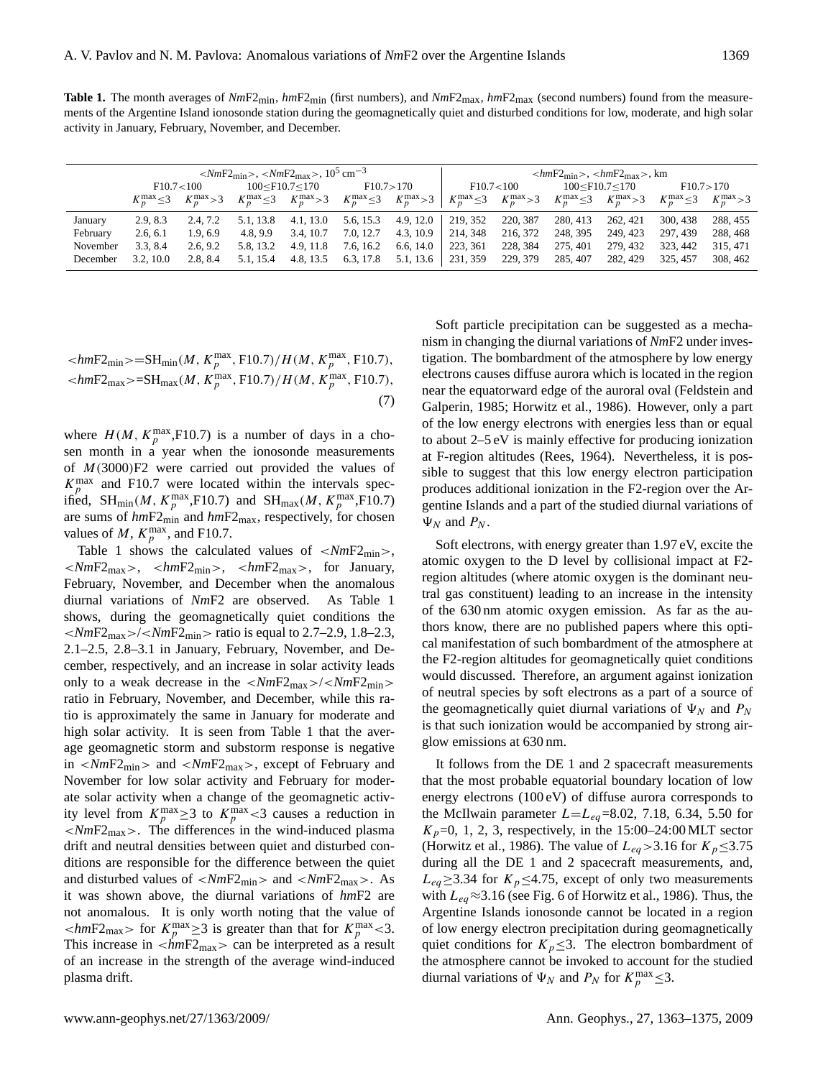**Table 1.** The month averages of  $NmF2_{\text{min}}$ ,  $hmF2_{\text{min}}$  (first numbers), and  $NmF2_{\text{max}}$ ,  $hmF2_{\text{max}}$  (second numbers) found from the measurements of the Argentine Island ionosonde station during the geomagnetically quiet and disturbed conditions for low, moderate, and high solar activity in January, February, November, and December.

|          | $\langle NmF2_{\rm min} \rangle$ , $\langle NmF2_{\rm max} \rangle$ , $10^5 \text{ cm}^{-3}$ |                  |                       |                  |                     |                  | $\langle \text{lmF2}_{\text{min}} \rangle$ , $\langle \text{lmF2}_{\text{max}} \rangle$ , km |                  |                        |                  |                     |                  |  |
|----------|----------------------------------------------------------------------------------------------|------------------|-----------------------|------------------|---------------------|------------------|----------------------------------------------------------------------------------------------|------------------|------------------------|------------------|---------------------|------------------|--|
|          | F10.7<100                                                                                    |                  | $100 <$ F10.7 $<$ 170 |                  | F10.7 > 170         |                  | F10.7<100                                                                                    |                  | $100 <$ F $10.7 <$ 170 |                  | F10.7 > 170         |                  |  |
|          | $K_n^{\max} \leq 3$                                                                          | $K_n^{\max} > 3$ | $K_n^{\max} \leq 3$   | $K_n^{\max} > 3$ | $K_n^{\max} \leq 3$ | $K_n^{\max} > 3$ | $K_n^{\max} \leq 3$                                                                          | $K_n^{\max} > 3$ | $K_p^{\max} \leq 3$    | $K_n^{\max} > 3$ | $K_n^{\max} \leq 3$ | $K_n^{\max} > 3$ |  |
| January  | 2.9, 8.3                                                                                     | 2.4.7.2          | 5.1, 13.8             | 4.1, 13.0        | 5.6, 15.3           | 4.9, 12.0        | 219, 352                                                                                     | 220, 387         | 280, 413               | 262, 421         | 300, 438            | 288, 455         |  |
| February | 2.6, 6.1                                                                                     | 1.9.6.9          | 4.8.9.9               | 3.4, 10.7        | 7.0, 12.7           | 4.3, 10.9        | 214, 348                                                                                     | 216, 372         | 248, 395               | 249.423          | 297, 439            | 288, 468         |  |
| November | 3.3.8.4                                                                                      | 2.6, 9.2         | 5.8, 13.2             | 4.9, 11.8        | 7.6, 16.2           | 6.6, 14.0        | 223, 361                                                                                     | 228, 384         | 275, 401               | 279.432          | 323, 442            | 315, 471         |  |
| December | 3.2, 10.0                                                                                    | 2.8.8.4          | 5.1, 15.4             | 4.8, 13.5        | 6.3, 17.8           | 5.1, 13.6        | 231, 359                                                                                     | 229, 379         | 285, 407               | 282, 429         | 325, 457            | 308, 462         |  |

$$
\langle h m F 2_{\min} \rangle = SH_{\min}(M, K_p^{\max}, F10.7) / H(M, K_p^{\max}, F10.7),
$$
  

$$
\langle h m F 2_{\max} \rangle = SH_{\max}(M, K_p^{\max}, F10.7) / H(M, K_p^{\max}, F10.7),
$$
  
(7)

where  $H(M, K_p^{\text{max}}, F10.7)$  is a number of days in a chosen month in a year when the ionosonde measurements of  $M(3000)F2$  were carried out provided the values of  $K_p^{\text{max}}$  and F10.7 were located within the intervals specified, SH<sub>min</sub>(*M*,  $K_p^{\text{max}}$ ,F10.7) and SH<sub>max</sub>(*M*,  $K_p^{\text{max}}$ ,F10.7) are sums of *hm*F2min and *hm*F2max, respectively, for chosen values of M,  $K_p^{\text{max}}$ , and F10.7.

Table 1 shows the calculated values of  $\langle NmF2_{\text{min}} \rangle$ , <*Nm*F2max>, <*hm*F2min>, <*hm*F2max>, for January, February, November, and December when the anomalous diurnal variations of *Nm*F2 are observed. As Table 1 shows, during the geomagnetically quiet conditions the  $\langle NmF2_{\text{max}}\rangle / \langle NmF2_{\text{min}}\rangle$  ratio is equal to 2.7–2.9, 1.8–2.3, 2.1–2.5, 2.8–3.1 in January, February, November, and December, respectively, and an increase in solar activity leads only to a weak decrease in the  $\langle NmF2_{\text{max}}\rangle / \langle NmF2_{\text{min}}\rangle$ ratio in February, November, and December, while this ratio is approximately the same in January for moderate and high solar activity. It is seen from Table 1 that the average geomagnetic storm and substorm response is negative in <*Nm*F2min> and <*Nm*F2max>, except of February and November for low solar activity and February for moderate solar activity when a change of the geomagnetic activity level from  $K_p^{\text{max}} \geq 3$  to  $K_p^{\text{max}} < 3$  causes a reduction in <*Nm*F2max>. The differences in the wind-induced plasma drift and neutral densities between quiet and disturbed conditions are responsible for the difference between the quiet and disturbed values of <*Nm*F2min> and <*Nm*F2max>. As it was shown above, the diurnal variations of *hm*F2 are not anomalous. It is only worth noting that the value of  $\langle 1/mF2_{\text{max}} \rangle$  for  $K_p^{\text{max}} \geq 3$  is greater than that for  $K_p^{\text{max}} \leq 3$ . This increase in  $\langle \dot{h}mF2_{\text{max}} \rangle$  can be interpreted as a result of an increase in the strength of the average wind-induced plasma drift.

Soft particle precipitation can be suggested as a mechanism in changing the diurnal variations of *Nm*F2 under investigation. The bombardment of the atmosphere by low energy electrons causes diffuse aurora which is located in the region near the equatorward edge of the auroral oval (Feldstein and Galperin, 1985; Horwitz et al., 1986). However, only a part of the low energy electrons with energies less than or equal to about 2–5 eV is mainly effective for producing ionization at F-region altitudes (Rees, 1964). Nevertheless, it is possible to suggest that this low energy electron participation produces additional ionization in the F2-region over the Argentine Islands and a part of the studied diurnal variations of  $\Psi_N$  and  $P_N$ .

Soft electrons, with energy greater than 1.97 eV, excite the atomic oxygen to the D level by collisional impact at F2 region altitudes (where atomic oxygen is the dominant neutral gas constituent) leading to an increase in the intensity of the 630 nm atomic oxygen emission. As far as the authors know, there are no published papers where this optical manifestation of such bombardment of the atmosphere at the F2-region altitudes for geomagnetically quiet conditions would discussed. Therefore, an argument against ionization of neutral species by soft electrons as a part of a source of the geomagnetically quiet diurnal variations of  $\Psi_N$  and  $P_N$ is that such ionization would be accompanied by strong airglow emissions at 630 nm.

It follows from the DE 1 and 2 spacecraft measurements that the most probable equatorial boundary location of low energy electrons (100 eV) of diffuse aurora corresponds to the McIlwain parameter  $L=L_{eq}=8.02, 7.18, 6.34, 5.50$  for  $K_p$ =0, 1, 2, 3, respectively, in the 15:00–24:00 MLT sector (Horwitz et al., 1986). The value of  $L_{eq}$  > 3.16 for  $K_p \le 3.75$ during all the DE 1 and 2 spacecraft measurements, and,  $L_{eq} \geq 3.34$  for  $K_p \leq 4.75$ , except of only two measurements with  $L_{ea} \approx 3.16$  (see Fig. 6 of Horwitz et al., 1986). Thus, the Argentine Islands ionosonde cannot be located in a region of low energy electron precipitation during geomagnetically quiet conditions for  $K_p \leq 3$ . The electron bombardment of the atmosphere cannot be invoked to account for the studied diurnal variations of  $\Psi_N$  and  $P_N$  for  $K_p^{\max} \leq 3$ .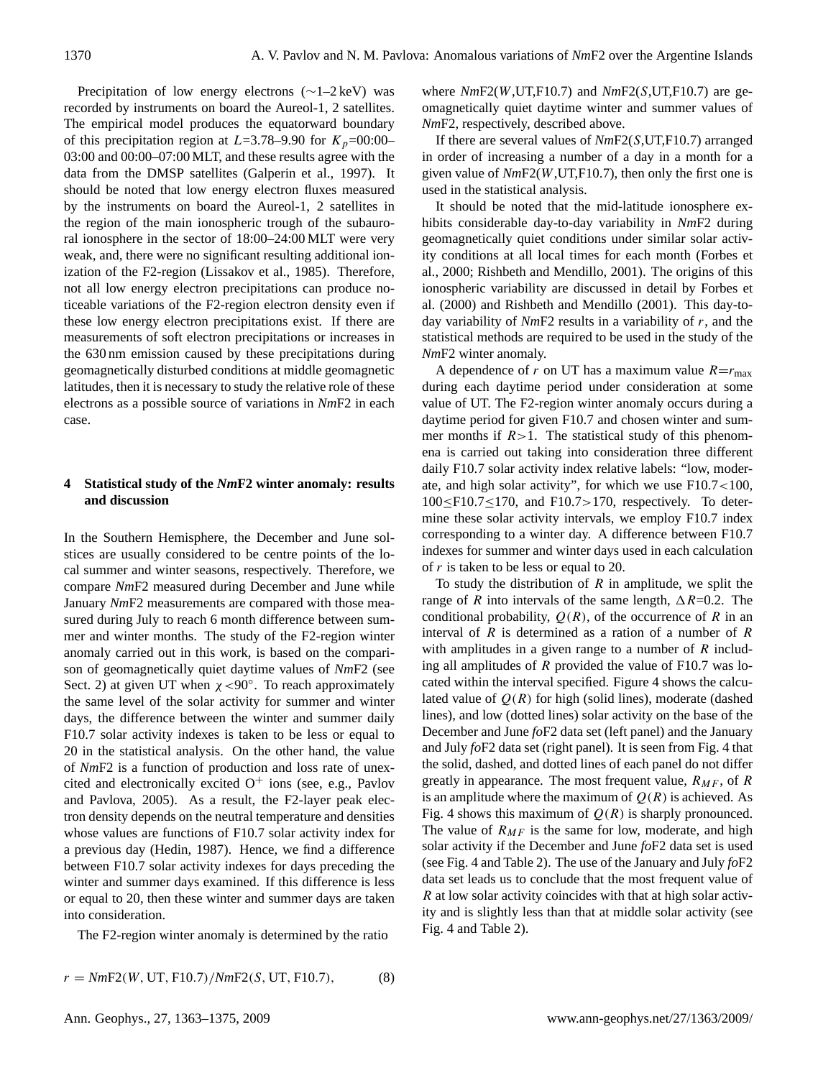Precipitation of low energy electrons (∼1–2 keV) was recorded by instruments on board the Aureol-1, 2 satellites. The empirical model produces the equatorward boundary of this precipitation region at  $L=3.78-9.90$  for  $K_p=00:00-$ 03:00 and 00:00–07:00 MLT, and these results agree with the data from the DMSP satellites (Galperin et al., 1997). It should be noted that low energy electron fluxes measured by the instruments on board the Aureol-1, 2 satellites in the region of the main ionospheric trough of the subauroral ionosphere in the sector of 18:00–24:00 MLT were very weak, and, there were no significant resulting additional ionization of the F2-region (Lissakov et al., 1985). Therefore, not all low energy electron precipitations can produce noticeable variations of the F2-region electron density even if these low energy electron precipitations exist. If there are measurements of soft electron precipitations or increases in the 630 nm emission caused by these precipitations during geomagnetically disturbed conditions at middle geomagnetic latitudes, then it is necessary to study the relative role of these electrons as a possible source of variations in *Nm*F2 in each case.

## **4 Statistical study of the** *Nm***F2 winter anomaly: results and discussion**

In the Southern Hemisphere, the December and June solstices are usually considered to be centre points of the local summer and winter seasons, respectively. Therefore, we compare *Nm*F2 measured during December and June while January *Nm*F2 measurements are compared with those measured during July to reach 6 month difference between summer and winter months. The study of the F2-region winter anomaly carried out in this work, is based on the comparison of geomagnetically quiet daytime values of *Nm*F2 (see Sect. 2) at given UT when  $\chi$  <90°. To reach approximately the same level of the solar activity for summer and winter days, the difference between the winter and summer daily F10.7 solar activity indexes is taken to be less or equal to 20 in the statistical analysis. On the other hand, the value of *Nm*F2 is a function of production and loss rate of unexcited and electronically excited  $O<sup>+</sup>$  ions (see, e.g., Pavlov and Pavlova, 2005). As a result, the F2-layer peak electron density depends on the neutral temperature and densities whose values are functions of F10.7 solar activity index for a previous day (Hedin, 1987). Hence, we find a difference between F10.7 solar activity indexes for days preceding the winter and summer days examined. If this difference is less or equal to 20, then these winter and summer days are taken into consideration.

The F2-region winter anomaly is determined by the ratio

 $r = NmF2(W, UT, F10.7)/NmF2(S, UT, F10.7)$ , (8)

where *Nm*F2(W,UT,F10.7) and *Nm*F2(S,UT,F10.7) are geomagnetically quiet daytime winter and summer values of *Nm*F2, respectively, described above.

If there are several values of *Nm*F2(S,UT,F10.7) arranged in order of increasing a number of a day in a month for a given value of *Nm*F2(W,UT,F10.7), then only the first one is used in the statistical analysis.

It should be noted that the mid-latitude ionosphere exhibits considerable day-to-day variability in *Nm*F2 during geomagnetically quiet conditions under similar solar activity conditions at all local times for each month (Forbes et al., 2000; Rishbeth and Mendillo, 2001). The origins of this ionospheric variability are discussed in detail by Forbes et al. (2000) and Rishbeth and Mendillo (2001). This day-today variability of *Nm*F2 results in a variability of r, and the statistical methods are required to be used in the study of the *Nm*F2 winter anomaly.

A dependence of r on UT has a maximum value  $R=r_{\text{max}}$ during each daytime period under consideration at some value of UT. The F2-region winter anomaly occurs during a daytime period for given F10.7 and chosen winter and summer months if  $R>1$ . The statistical study of this phenomena is carried out taking into consideration three different daily F10.7 solar activity index relative labels: "low, moderate, and high solar activity", for which we use F10.7<100,  $100 \leq$ F10.7 $\leq$ 170, and F10.7 $>$ 170, respectively. To determine these solar activity intervals, we employ F10.7 index corresponding to a winter day. A difference between F10.7 indexes for summer and winter days used in each calculation of r is taken to be less or equal to 20.

To study the distribution of  $R$  in amplitude, we split the range of R into intervals of the same length,  $\Delta R$ =0.2. The conditional probability,  $Q(R)$ , of the occurrence of R in an interval of  $R$  is determined as a ration of a number of  $R$ with amplitudes in a given range to a number of  $R$  including all amplitudes of  *provided the value of F10.7 was lo*cated within the interval specified. Figure 4 shows the calculated value of  $Q(R)$  for high (solid lines), moderate (dashed lines), and low (dotted lines) solar activity on the base of the December and June *fo*F2 data set (left panel) and the January and July *fo*F2 data set (right panel). It is seen from Fig. 4 that the solid, dashed, and dotted lines of each panel do not differ greatly in appearance. The most frequent value,  $R_{MF}$ , of R is an amplitude where the maximum of  $Q(R)$  is achieved. As Fig. 4 shows this maximum of  $Q(R)$  is sharply pronounced. The value of  $R_{MF}$  is the same for low, moderate, and high solar activity if the December and June *fo*F2 data set is used (see Fig. 4 and Table 2). The use of the January and July *fo*F2 data set leads us to conclude that the most frequent value of R at low solar activity coincides with that at high solar activity and is slightly less than that at middle solar activity (see Fig. 4 and Table 2).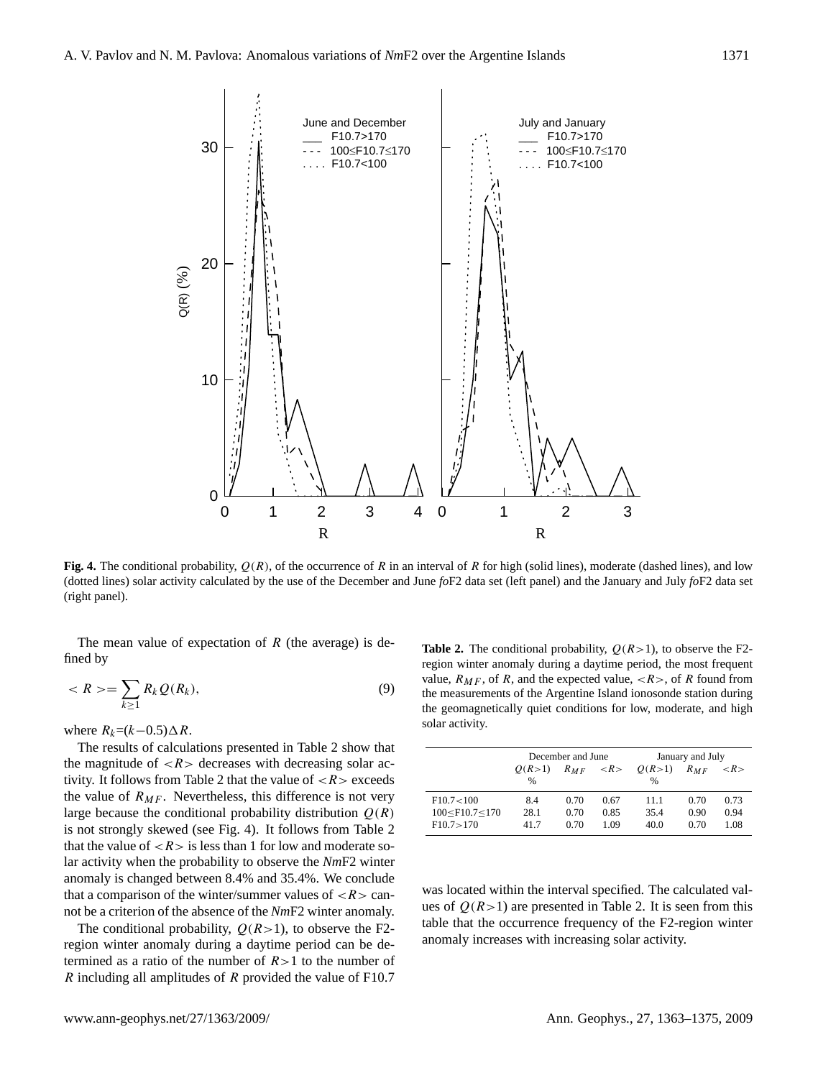

Fig. 4. The conditional probability,  $Q(R)$ , of the occurrence of R in an interval of R for high (solid lines), moderate (dashed lines), and low (dotted lines) solar activity calculated by the use of the December and June *fo*F2 data set (left panel) and the January and July *fo*F2 data set (right panel).

The mean value of expectation of  $R$  (the average) is defined by

$$
\langle R \rangle = \sum_{k \ge 1} R_k \mathcal{Q}(R_k), \tag{9}
$$

where  $R_k=(k-0.5)\Delta R$ .

The results of calculations presented in Table 2 show that the magnitude of  $\langle R \rangle$  decreases with decreasing solar activity. It follows from Table 2 that the value of  $\langle R \rangle$  exceeds the value of  $R_{MF}$ . Nevertheless, this difference is not very large because the conditional probability distribution  $Q(R)$ is not strongly skewed (see Fig. 4). It follows from Table 2 that the value of  $\langle R \rangle$  is less than 1 for low and moderate solar activity when the probability to observe the *Nm*F2 winter anomaly is changed between 8.4% and 35.4%. We conclude that a comparison of the winter/summer values of  $\langle R \rangle$  cannot be a criterion of the absence of the *Nm*F2 winter anomaly.

The conditional probability,  $Q(R>1)$ , to observe the F2region winter anomaly during a daytime period can be determined as a ratio of the number of  $R>1$  to the number of R including all amplitudes of R provided the value of F10.7

**Table 2.** The conditional probability,  $Q(R>1)$ , to observe the F2region winter anomaly during a daytime period, the most frequent value,  $R_{MF}$ , of R, and the expected value,  $\langle R \rangle$ , of R found from the measurements of the Argentine Island ionosonde station during the geomagnetically quiet conditions for low, moderate, and high solar activity.

|                                                                                                                   |        | December and June |      | January and July             |          |                     |  |  |
|-------------------------------------------------------------------------------------------------------------------|--------|-------------------|------|------------------------------|----------|---------------------|--|--|
|                                                                                                                   | O(R>1) | $R_{MF}$          |      | $\langle R \rangle$ $Q(R>1)$ | $R_{MF}$ | $\langle R \rangle$ |  |  |
|                                                                                                                   | $\%$   |                   |      | $\%$                         |          |                     |  |  |
| F10.7<100                                                                                                         | 8.4    | 0.70              | 0.67 | 11.1                         | 0.70     | 0.73                |  |  |
| 100 <f10.7<170< th=""><th>28.1</th><th>0.70</th><th>0.85</th><th>35.4</th><th>0.90</th><th>0.94</th></f10.7<170<> | 28.1   | 0.70              | 0.85 | 35.4                         | 0.90     | 0.94                |  |  |
| F10.7 > 170                                                                                                       | 417    | 0.70              | 1.09 | 40.0                         | 0.70     | 1.08                |  |  |

was located within the interval specified. The calculated values of  $Q(R>1)$  are presented in Table 2. It is seen from this table that the occurrence frequency of the F2-region winter anomaly increases with increasing solar activity.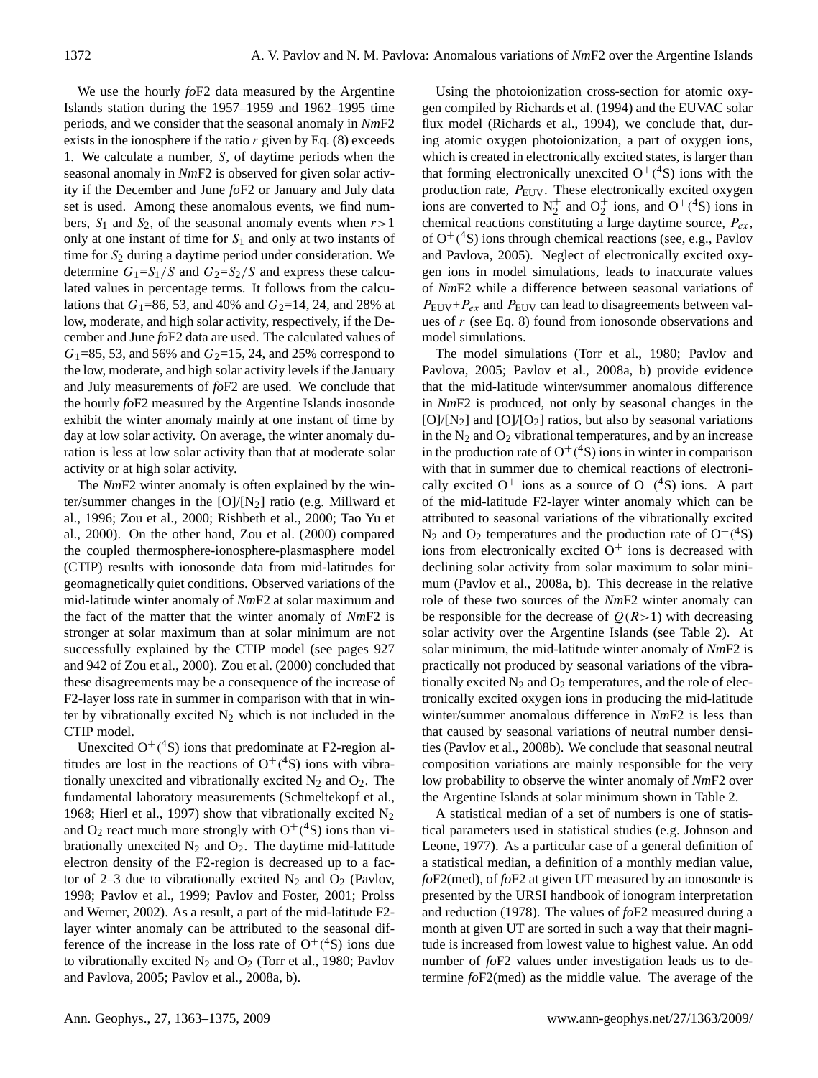We use the hourly *fo*F2 data measured by the Argentine Islands station during the 1957–1959 and 1962–1995 time periods, and we consider that the seasonal anomaly in *Nm*F2 exists in the ionosphere if the ratio  $r$  given by Eq. (8) exceeds 1. We calculate a number, S, of daytime periods when the seasonal anomaly in *Nm*F2 is observed for given solar activity if the December and June *fo*F2 or January and July data set is used. Among these anomalous events, we find numbers,  $S_1$  and  $S_2$ , of the seasonal anomaly events when  $r>1$ only at one instant of time for  $S_1$  and only at two instants of time for  $S_2$  during a daytime period under consideration. We determine  $G_1 = S_1/S$  and  $G_2 = S_2/S$  and express these calculated values in percentage terms. It follows from the calculations that  $G_1$ =86, 53, and 40% and  $G_2$ =14, 24, and 28% at low, moderate, and high solar activity, respectively, if the December and June *fo*F2 data are used. The calculated values of  $G_1$ =85, 53, and 56% and  $G_2$ =15, 24, and 25% correspond to the low, moderate, and high solar activity levels if the January and July measurements of *fo*F2 are used. We conclude that the hourly *fo*F2 measured by the Argentine Islands inosonde exhibit the winter anomaly mainly at one instant of time by day at low solar activity. On average, the winter anomaly duration is less at low solar activity than that at moderate solar activity or at high solar activity.

The *Nm*F2 winter anomaly is often explained by the winter/summer changes in the  $[O]/[N_2]$  ratio (e.g. Millward et al., 1996; Zou et al., 2000; Rishbeth et al., 2000; Tao Yu et al., 2000). On the other hand, Zou et al. (2000) compared the coupled thermosphere-ionosphere-plasmasphere model (CTIP) results with ionosonde data from mid-latitudes for geomagnetically quiet conditions. Observed variations of the mid-latitude winter anomaly of *Nm*F2 at solar maximum and the fact of the matter that the winter anomaly of *Nm*F2 is stronger at solar maximum than at solar minimum are not successfully explained by the CTIP model (see pages 927 and 942 of Zou et al., 2000). Zou et al. (2000) concluded that these disagreements may be a consequence of the increase of F2-layer loss rate in summer in comparison with that in winter by vibrationally excited  $N_2$  which is not included in the CTIP model.

Unexcited  $O^+(4S)$  ions that predominate at F2-region altitudes are lost in the reactions of  $O^+(4S)$  ions with vibrationally unexcited and vibrationally excited  $N_2$  and  $O_2$ . The fundamental laboratory measurements (Schmeltekopf et al., 1968; Hierl et al., 1997) show that vibrationally excited  $N_2$ and O<sub>2</sub> react much more strongly with  $O^+(^4S)$  ions than vibrationally unexcited  $N_2$  and  $O_2$ . The daytime mid-latitude electron density of the F2-region is decreased up to a factor of 2–3 due to vibrationally excited  $N_2$  and  $O_2$  (Pavlov, 1998; Pavlov et al., 1999; Pavlov and Foster, 2001; Prolss and Werner, 2002). As a result, a part of the mid-latitude F2 layer winter anomaly can be attributed to the seasonal difference of the increase in the loss rate of  $O^+(^4S)$  ions due to vibrationally excited  $N_2$  and  $O_2$  (Torr et al., 1980; Pavlov and Pavlova, 2005; Pavlov et al., 2008a, b).

Using the photoionization cross-section for atomic oxygen compiled by Richards et al. (1994) and the EUVAC solar flux model (Richards et al., 1994), we conclude that, during atomic oxygen photoionization, a part of oxygen ions, which is created in electronically excited states, is larger than that forming electronically unexcited  $O^{+}(^{4}S)$  ions with the production rate,  $P_{\text{EUV}}$ . These electronically excited oxygen ions are converted to  $N_2^+$  and  $O_2^+$  ions, and  $O^+(4S)$  ions in chemical reactions constituting a large daytime source,  $P_{ex}$ , of  $O^+(4S)$  ions through chemical reactions (see, e.g., Pavlov and Pavlova, 2005). Neglect of electronically excited oxygen ions in model simulations, leads to inaccurate values of *Nm*F2 while a difference between seasonal variations of  $P_{\text{EUV}}+P_{ex}$  and  $P_{\text{EUV}}$  can lead to disagreements between values of r (see Eq. 8) found from ionosonde observations and model simulations.

The model simulations (Torr et al., 1980; Pavlov and Pavlova, 2005; Pavlov et al., 2008a, b) provide evidence that the mid-latitude winter/summer anomalous difference in *Nm*F2 is produced, not only by seasonal changes in the  $[O]/[N_2]$  and  $[O]/[O_2]$  ratios, but also by seasonal variations in the  $N_2$  and  $O_2$  vibrational temperatures, and by an increase in the production rate of  $O^+(4S)$  ions in winter in comparison with that in summer due to chemical reactions of electronically excited  $O^+$  ions as a source of  $O^+(4S)$  ions. A part of the mid-latitude F2-layer winter anomaly which can be attributed to seasonal variations of the vibrationally excited  $N_2$  and  $O_2$  temperatures and the production rate of  $O^+(4S)$ ions from electronically excited  $O<sup>+</sup>$  ions is decreased with declining solar activity from solar maximum to solar minimum (Pavlov et al., 2008a, b). This decrease in the relative role of these two sources of the *Nm*F2 winter anomaly can be responsible for the decrease of  $Q(R>1)$  with decreasing solar activity over the Argentine Islands (see Table 2). At solar minimum, the mid-latitude winter anomaly of *Nm*F2 is practically not produced by seasonal variations of the vibrationally excited  $N_2$  and  $O_2$  temperatures, and the role of electronically excited oxygen ions in producing the mid-latitude winter/summer anomalous difference in *Nm*F2 is less than that caused by seasonal variations of neutral number densities (Pavlov et al., 2008b). We conclude that seasonal neutral composition variations are mainly responsible for the very low probability to observe the winter anomaly of *Nm*F2 over the Argentine Islands at solar minimum shown in Table 2.

A statistical median of a set of numbers is one of statistical parameters used in statistical studies (e.g. Johnson and Leone, 1977). As a particular case of a general definition of a statistical median, a definition of a monthly median value, *fo*F2(med), of *fo*F2 at given UT measured by an ionosonde is presented by the URSI handbook of ionogram interpretation and reduction (1978). The values of *fo*F2 measured during a month at given UT are sorted in such a way that their magnitude is increased from lowest value to highest value. An odd number of *fo*F2 values under investigation leads us to determine *fo*F2(med) as the middle value. The average of the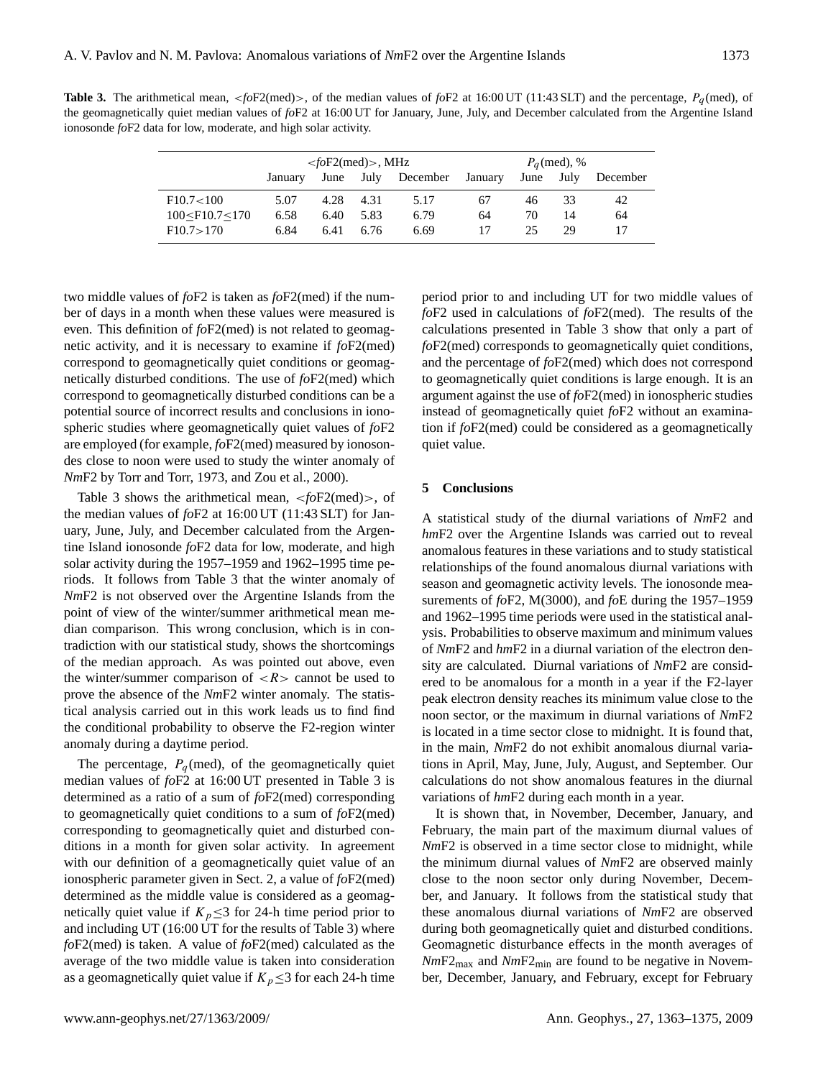**Table 3.** The arithmetical mean,  $\leq f \circ F2$  (med) $>$ , of the median values of  $f \circ F2$  at 16:00 UT (11:43 SLT) and the percentage,  $P_q$  (med), of the geomagnetically quiet median values of *fo*F2 at 16:00 UT for January, June, July, and December calculated from the Argentine Island ionosonde *fo*F2 data for low, moderate, and high solar activity.

|                          | $\langle$ foF2(med)>, MHz |           |      |               | $P_a$ (med), % |      |      |          |  |
|--------------------------|---------------------------|-----------|------|---------------|----------------|------|------|----------|--|
|                          | January                   | June      |      | July December | January        | June | July | December |  |
| F10.7<100                | 5.07                      | 4.28 4.31 |      | 5.17          | 67             | 46   | 33   | 42       |  |
| $100 <$ F $10.7 <$ $170$ | 6.58                      | 6.40      | 5.83 | 6.79          | 64             | 70   | 14   | 64       |  |
| F10.7 > 170              | 6.84                      | 6.41      | 6.76 | 6.69          | 17             | 25   | 29   | 17       |  |

two middle values of *fo*F2 is taken as *fo*F2(med) if the number of days in a month when these values were measured is even. This definition of *fo*F2(med) is not related to geomagnetic activity, and it is necessary to examine if *fo*F2(med) correspond to geomagnetically quiet conditions or geomagnetically disturbed conditions. The use of *fo*F2(med) which correspond to geomagnetically disturbed conditions can be a potential source of incorrect results and conclusions in ionospheric studies where geomagnetically quiet values of *fo*F2 are employed (for example, *fo*F2(med) measured by ionosondes close to noon were used to study the winter anomaly of *Nm*F2 by Torr and Torr, 1973, and Zou et al., 2000).

Table 3 shows the arithmetical mean, <*fo*F2(med)>, of the median values of *fo*F2 at 16:00 UT (11:43 SLT) for January, June, July, and December calculated from the Argentine Island ionosonde *fo*F2 data for low, moderate, and high solar activity during the 1957–1959 and 1962–1995 time periods. It follows from Table 3 that the winter anomaly of *Nm*F2 is not observed over the Argentine Islands from the point of view of the winter/summer arithmetical mean median comparison. This wrong conclusion, which is in contradiction with our statistical study, shows the shortcomings of the median approach. As was pointed out above, even the winter/summer comparison of  $\langle R \rangle$  cannot be used to prove the absence of the *Nm*F2 winter anomaly. The statistical analysis carried out in this work leads us to find find the conditional probability to observe the F2-region winter anomaly during a daytime period.

The percentage,  $P_q$  (med), of the geomagnetically quiet median values of *fo*F2 at 16:00 UT presented in Table 3 is determined as a ratio of a sum of *fo*F2(med) corresponding to geomagnetically quiet conditions to a sum of *fo*F2(med) corresponding to geomagnetically quiet and disturbed conditions in a month for given solar activity. In agreement with our definition of a geomagnetically quiet value of an ionospheric parameter given in Sect. 2, a value of *fo*F2(med) determined as the middle value is considered as a geomagnetically quiet value if  $K_p \leq 3$  for 24-h time period prior to and including UT (16:00 UT for the results of Table 3) where *fo*F2(med) is taken. A value of *fo*F2(med) calculated as the average of the two middle value is taken into consideration as a geomagnetically quiet value if  $K_p \leq 3$  for each 24-h time

period prior to and including UT for two middle values of *fo*F2 used in calculations of *fo*F2(med). The results of the calculations presented in Table 3 show that only a part of *fo*F2(med) corresponds to geomagnetically quiet conditions, and the percentage of *fo*F2(med) which does not correspond to geomagnetically quiet conditions is large enough. It is an argument against the use of *fo*F2(med) in ionospheric studies instead of geomagnetically quiet *fo*F2 without an examination if *fo*F2(med) could be considered as a geomagnetically quiet value.

#### **5 Conclusions**

A statistical study of the diurnal variations of *Nm*F2 and *hm*F2 over the Argentine Islands was carried out to reveal anomalous features in these variations and to study statistical relationships of the found anomalous diurnal variations with season and geomagnetic activity levels. The ionosonde measurements of *fo*F2, M(3000), and *fo*E during the 1957–1959 and 1962–1995 time periods were used in the statistical analysis. Probabilities to observe maximum and minimum values of *Nm*F2 and *hm*F2 in a diurnal variation of the electron density are calculated. Diurnal variations of *Nm*F2 are considered to be anomalous for a month in a year if the F2-layer peak electron density reaches its minimum value close to the noon sector, or the maximum in diurnal variations of *Nm*F2 is located in a time sector close to midnight. It is found that, in the main, *Nm*F2 do not exhibit anomalous diurnal variations in April, May, June, July, August, and September. Our calculations do not show anomalous features in the diurnal variations of *hm*F2 during each month in a year.

It is shown that, in November, December, January, and February, the main part of the maximum diurnal values of *Nm*F2 is observed in a time sector close to midnight, while the minimum diurnal values of *Nm*F2 are observed mainly close to the noon sector only during November, December, and January. It follows from the statistical study that these anomalous diurnal variations of *Nm*F2 are observed during both geomagnetically quiet and disturbed conditions. Geomagnetic disturbance effects in the month averages of *Nm*F2max and *Nm*F2min are found to be negative in November, December, January, and February, except for February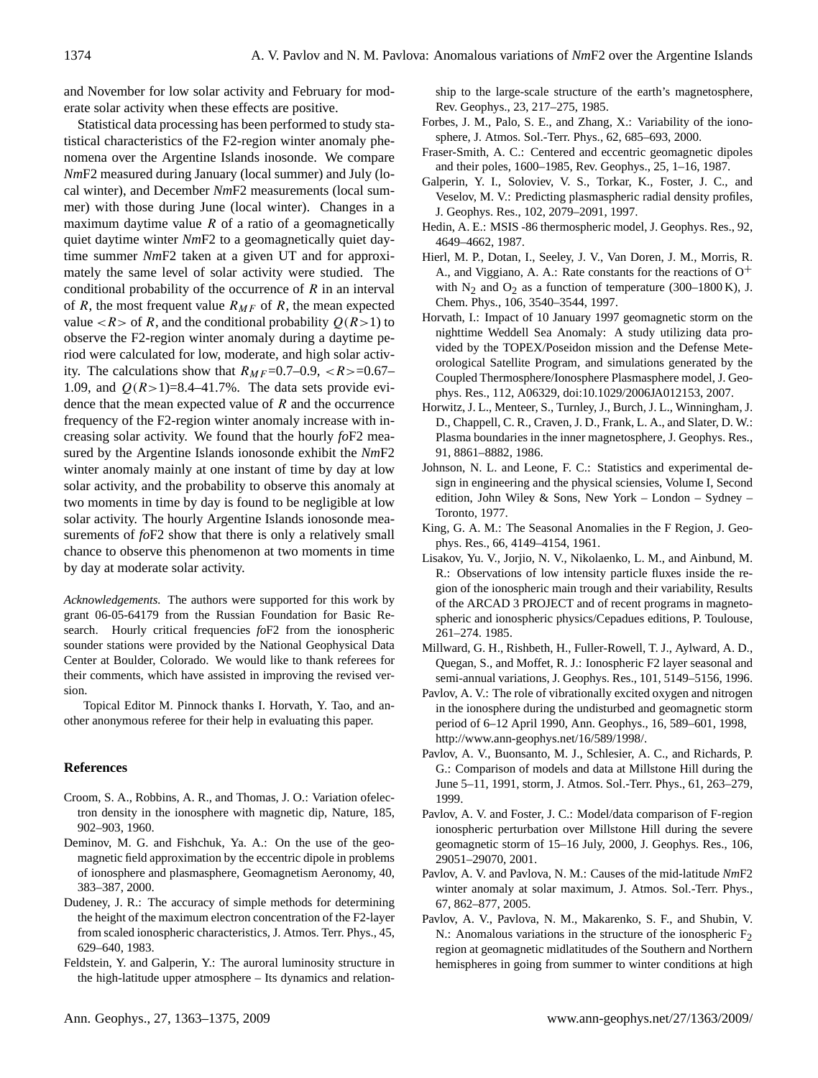and November for low solar activity and February for moderate solar activity when these effects are positive.

Statistical data processing has been performed to study statistical characteristics of the F2-region winter anomaly phenomena over the Argentine Islands inosonde. We compare *Nm*F2 measured during January (local summer) and July (local winter), and December *Nm*F2 measurements (local summer) with those during June (local winter). Changes in a maximum daytime value  $R$  of a ratio of a geomagnetically quiet daytime winter *Nm*F2 to a geomagnetically quiet daytime summer *Nm*F2 taken at a given UT and for approximately the same level of solar activity were studied. The conditional probability of the occurrence of  $R$  in an interval of R, the most frequent value  $R_{MF}$  of R, the mean expected value  $\langle R \rangle$  of R, and the conditional probability  $Q(R>1)$  to observe the F2-region winter anomaly during a daytime period were calculated for low, moderate, and high solar activity. The calculations show that  $R_{MF}=0.7-0.9, \langle R \rangle =0.67-0.67$ 1.09, and  $Q(R>1)=8.4-41.7\%$ . The data sets provide evidence that the mean expected value of  $R$  and the occurrence frequency of the F2-region winter anomaly increase with increasing solar activity. We found that the hourly *fo*F2 measured by the Argentine Islands ionosonde exhibit the *Nm*F2 winter anomaly mainly at one instant of time by day at low solar activity, and the probability to observe this anomaly at two moments in time by day is found to be negligible at low solar activity. The hourly Argentine Islands ionosonde measurements of *fo*F2 show that there is only a relatively small chance to observe this phenomenon at two moments in time by day at moderate solar activity.

*Acknowledgements.* The authors were supported for this work by grant 06-05-64179 from the Russian Foundation for Basic Research. Hourly critical frequencies *fo*F2 from the ionospheric sounder stations were provided by the National Geophysical Data Center at Boulder, Colorado. We would like to thank referees for their comments, which have assisted in improving the revised version.

Topical Editor M. Pinnock thanks I. Horvath, Y. Tao, and another anonymous referee for their help in evaluating this paper.

#### **References**

- Croom, S. A., Robbins, A. R., and Thomas, J. O.: Variation ofelectron density in the ionosphere with magnetic dip, Nature, 185, 902–903, 1960.
- Deminov, M. G. and Fishchuk, Ya. A.: On the use of the geomagnetic field approximation by the eccentric dipole in problems of ionosphere and plasmasphere, Geomagnetism Aeronomy, 40, 383–387, 2000.
- Dudeney, J. R.: The accuracy of simple methods for determining the height of the maximum electron concentration of the F2-layer from scaled ionospheric characteristics, J. Atmos. Terr. Phys., 45, 629–640, 1983.
- Feldstein, Y. and Galperin, Y.: The auroral luminosity structure in the high-latitude upper atmosphere – Its dynamics and relation-

ship to the large-scale structure of the earth's magnetosphere, Rev. Geophys., 23, 217–275, 1985.

- Forbes, J. M., Palo, S. E., and Zhang, X.: Variability of the ionosphere, J. Atmos. Sol.-Terr. Phys., 62, 685–693, 2000.
- Fraser-Smith, A. C.: Centered and eccentric geomagnetic dipoles and their poles, 1600–1985, Rev. Geophys., 25, 1–16, 1987.
- Galperin, Y. I., Soloviev, V. S., Torkar, K., Foster, J. C., and Veselov, M. V.: Predicting plasmaspheric radial density profiles, J. Geophys. Res., 102, 2079–2091, 1997.
- Hedin, A. E.: MSIS -86 thermospheric model, J. Geophys. Res., 92, 4649–4662, 1987.
- Hierl, M. P., Dotan, I., Seeley, J. V., Van Doren, J. M., Morris, R. A., and Viggiano, A. A.: Rate constants for the reactions of  $O^+$ with  $N_2$  and  $O_2$  as a function of temperature (300–1800 K), J. Chem. Phys., 106, 3540–3544, 1997.
- Horvath, I.: Impact of 10 January 1997 geomagnetic storm on the nighttime Weddell Sea Anomaly: A study utilizing data provided by the TOPEX/Poseidon mission and the Defense Meteorological Satellite Program, and simulations generated by the Coupled Thermosphere/Ionosphere Plasmasphere model, J. Geophys. Res., 112, A06329, doi:10.1029/2006JA012153, 2007.
- Horwitz, J. L., Menteer, S., Turnley, J., Burch, J. L., Winningham, J. D., Chappell, C. R., Craven, J. D., Frank, L. A., and Slater, D. W.: Plasma boundaries in the inner magnetosphere, J. Geophys. Res., 91, 8861–8882, 1986.
- Johnson, N. L. and Leone, F. C.: Statistics and experimental design in engineering and the physical sciensies, Volume I, Second edition, John Wiley & Sons, New York – London – Sydney – Toronto, 1977.
- King, G. A. M.: The Seasonal Anomalies in the F Region, J. Geophys. Res., 66, 4149–4154, 1961.
- Lisakov, Yu. V., Jorjio, N. V., Nikolaenko, L. M., and Ainbund, M. R.: Observations of low intensity particle fluxes inside the region of the ionospheric main trough and their variability, Results of the ARCAD 3 PROJECT and of recent programs in magnetospheric and ionospheric physics/Cepadues editions, P. Toulouse, 261–274. 1985.
- Millward, G. H., Rishbeth, H., Fuller-Rowell, T. J., Aylward, A. D., Quegan, S., and Moffet, R. J.: Ionospheric F2 layer seasonal and semi-annual variations, J. Geophys. Res., 101, 5149–5156, 1996.
- Pavlov, A. V.: The role of vibrationally excited oxygen and nitrogen in the ionosphere during the undisturbed and geomagnetic storm period of 6–12 April 1990, Ann. Geophys., 16, 589–601, 1998, [http://www.ann-geophys.net/16/589/1998/.](http://www.ann-geophys.net/16/589/1998/)
- Pavlov, A. V., Buonsanto, M. J., Schlesier, A. C., and Richards, P. G.: Comparison of models and data at Millstone Hill during the June 5–11, 1991, storm, J. Atmos. Sol.-Terr. Phys., 61, 263–279, 1999.
- Pavlov, A. V. and Foster, J. C.: Model/data comparison of F-region ionospheric perturbation over Millstone Hill during the severe geomagnetic storm of 15–16 July, 2000, J. Geophys. Res., 106, 29051–29070, 2001.
- Pavlov, A. V. and Pavlova, N. M.: Causes of the mid-latitude *Nm*F2 winter anomaly at solar maximum, J. Atmos. Sol.-Terr. Phys., 67, 862–877, 2005.
- Pavlov, A. V., Pavlova, N. M., Makarenko, S. F., and Shubin, V. N.: Anomalous variations in the structure of the ionospheric  $F_2$ region at geomagnetic midlatitudes of the Southern and Northern hemispheres in going from summer to winter conditions at high